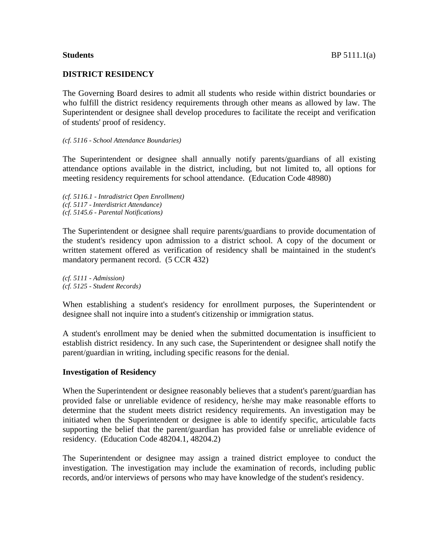#### **DISTRICT RESIDENCY**

The Governing Board desires to admit all students who reside within district boundaries or who fulfill the district residency requirements through other means as allowed by law. The Superintendent or designee shall develop procedures to facilitate the receipt and verification of students' proof of residency.

#### *(cf. 5116 - School Attendance Boundaries)*

The Superintendent or designee shall annually notify parents/guardians of all existing attendance options available in the district, including, but not limited to, all options for meeting residency requirements for school attendance. (Education Code 48980)

*(cf. 5116.1 - Intradistrict Open Enrollment) (cf. 5117 - Interdistrict Attendance) (cf. 5145.6 - Parental Notifications)*

The Superintendent or designee shall require parents/guardians to provide documentation of the student's residency upon admission to a district school. A copy of the document or written statement offered as verification of residency shall be maintained in the student's mandatory permanent record. (5 CCR 432)

*(cf. 5111 - Admission) (cf. 5125 - Student Records)*

When establishing a student's residency for enrollment purposes, the Superintendent or designee shall not inquire into a student's citizenship or immigration status.

A student's enrollment may be denied when the submitted documentation is insufficient to establish district residency. In any such case, the Superintendent or designee shall notify the parent/guardian in writing, including specific reasons for the denial.

#### **Investigation of Residency**

When the Superintendent or designee reasonably believes that a student's parent/guardian has provided false or unreliable evidence of residency, he/she may make reasonable efforts to determine that the student meets district residency requirements. An investigation may be initiated when the Superintendent or designee is able to identify specific, articulable facts supporting the belief that the parent/guardian has provided false or unreliable evidence of residency. (Education Code 48204.1, 48204.2)

The Superintendent or designee may assign a trained district employee to conduct the investigation. The investigation may include the examination of records, including public records, and/or interviews of persons who may have knowledge of the student's residency.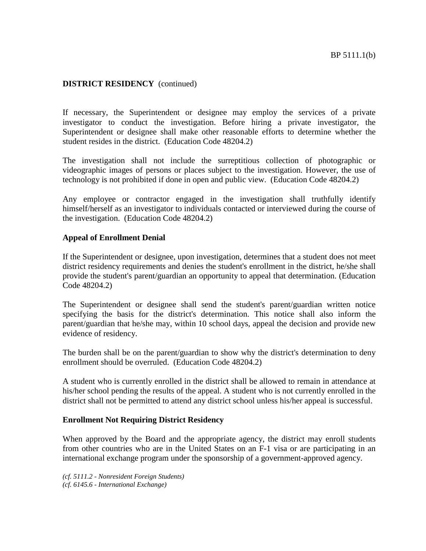If necessary, the Superintendent or designee may employ the services of a private investigator to conduct the investigation. Before hiring a private investigator, the Superintendent or designee shall make other reasonable efforts to determine whether the student resides in the district. (Education Code 48204.2)

The investigation shall not include the surreptitious collection of photographic or videographic images of persons or places subject to the investigation. However, the use of technology is not prohibited if done in open and public view. (Education Code 48204.2)

Any employee or contractor engaged in the investigation shall truthfully identify himself/herself as an investigator to individuals contacted or interviewed during the course of the investigation. (Education Code 48204.2)

### **Appeal of Enrollment Denial**

If the Superintendent or designee, upon investigation, determines that a student does not meet district residency requirements and denies the student's enrollment in the district, he/she shall provide the student's parent/guardian an opportunity to appeal that determination. (Education Code 48204.2)

The Superintendent or designee shall send the student's parent/guardian written notice specifying the basis for the district's determination. This notice shall also inform the parent/guardian that he/she may, within 10 school days, appeal the decision and provide new evidence of residency.

The burden shall be on the parent/guardian to show why the district's determination to deny enrollment should be overruled. (Education Code 48204.2)

A student who is currently enrolled in the district shall be allowed to remain in attendance at his/her school pending the results of the appeal. A student who is not currently enrolled in the district shall not be permitted to attend any district school unless his/her appeal is successful.

#### **Enrollment Not Requiring District Residency**

When approved by the Board and the appropriate agency, the district may enroll students from other countries who are in the United States on an F-1 visa or are participating in an international exchange program under the sponsorship of a government-approved agency.

*(cf. 5111.2 - Nonresident Foreign Students) (cf. 6145.6 - International Exchange)*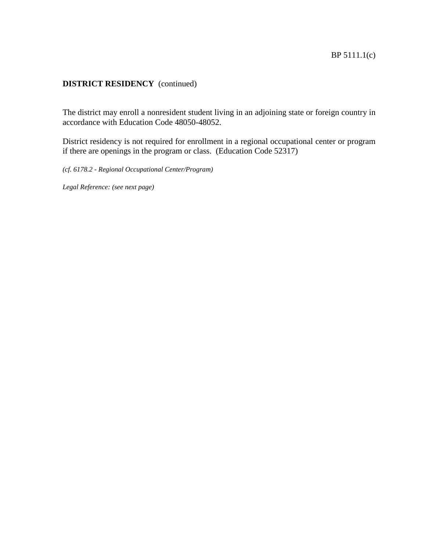The district may enroll a nonresident student living in an adjoining state or foreign country in accordance with Education Code 48050-48052.

District residency is not required for enrollment in a regional occupational center or program if there are openings in the program or class. (Education Code 52317)

*(cf. 6178.2 - Regional Occupational Center/Program)*

*Legal Reference: (see next page)*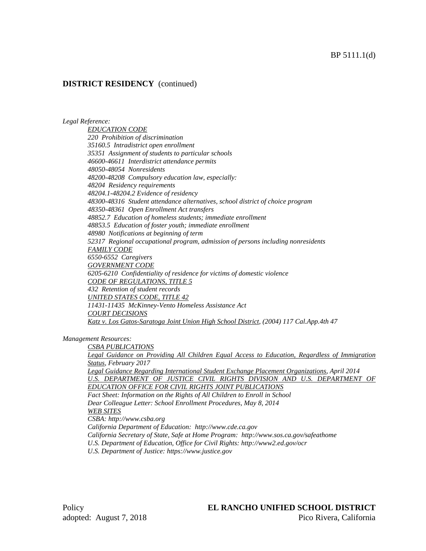## BP 5111.1(d)

## **DISTRICT RESIDENCY** (continued)

*Legal Reference:*

*EDUCATION CODE 220 Prohibition of discrimination 35160.5 Intradistrict open enrollment 35351 Assignment of students to particular schools 46600-46611 Interdistrict attendance permits 48050-48054 Nonresidents 48200-48208 Compulsory education law, especially: 48204 Residency requirements 48204.1-48204.2 Evidence of residency 48300-48316 Student attendance alternatives, school district of choice program 48350-48361 Open Enrollment Act transfers 48852.7 Education of homeless students; immediate enrollment 48853.5 Education of foster youth; immediate enrollment 48980 Notifications at beginning of term 52317 Regional occupational program, admission of persons including nonresidents FAMILY CODE 6550-6552 Caregivers GOVERNMENT CODE 6205-6210 Confidentiality of residence for victims of domestic violence CODE OF REGULATIONS, TITLE 5 432 Retention of student records UNITED STATES CODE, TITLE 42 11431-11435 McKinney-Vento Homeless Assistance Act COURT DECISIONS Katz v. Los Gatos-Saratoga Joint Union High School District, (2004) 117 Cal.App.4th 47*

*Management Resources:*

*CSBA PUBLICATIONS Legal Guidance on Providing All Children Equal Access to Education, Regardless of Immigration Status, February 2017 Legal Guidance Regarding International Student Exchange Placement Organizations, April 2014 U.S. DEPARTMENT OF JUSTICE CIVIL RIGHTS DIVISION AND U.S. DEPARTMENT OF EDUCATION OFFICE FOR CIVIL RIGHTS JOINT PUBLICATIONS Fact Sheet: Information on the Rights of All Children to Enroll in School Dear Colleague Letter: School Enrollment Procedures, May 8, 2014 WEB SITES CSBA: http://www.csba.org California Department of Education: http://www.cde.ca.gov California Secretary of State, Safe at Home Program: http://www.sos.ca.gov/safeathome U.S. Department of Education, Office for Civil Rights: http://www2.ed.gov/ocr*

*U.S. Department of Justice: https://www.justice.gov*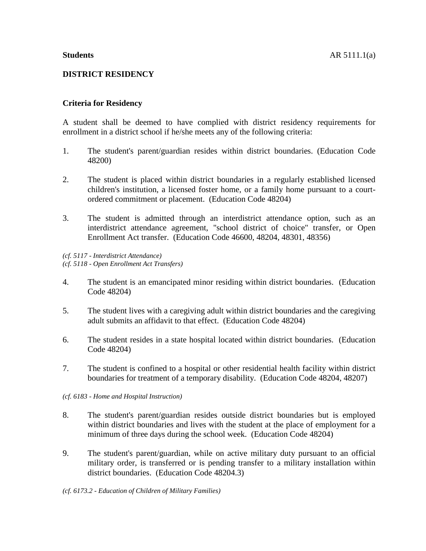# **DISTRICT RESIDENCY**

# **Criteria for Residency**

A student shall be deemed to have complied with district residency requirements for enrollment in a district school if he/she meets any of the following criteria:

- 1. The student's parent/guardian resides within district boundaries. (Education Code 48200)
- 2. The student is placed within district boundaries in a regularly established licensed children's institution, a licensed foster home, or a family home pursuant to a courtordered commitment or placement. (Education Code 48204)
- 3. The student is admitted through an interdistrict attendance option, such as an interdistrict attendance agreement, "school district of choice" transfer, or Open Enrollment Act transfer. (Education Code 46600, 48204, 48301, 48356)

*(cf. 5117 - Interdistrict Attendance) (cf. 5118 - Open Enrollment Act Transfers)*

- 4. The student is an emancipated minor residing within district boundaries. (Education Code 48204)
- 5. The student lives with a caregiving adult within district boundaries and the caregiving adult submits an affidavit to that effect. (Education Code 48204)
- 6. The student resides in a state hospital located within district boundaries. (Education Code 48204)
- 7. The student is confined to a hospital or other residential health facility within district boundaries for treatment of a temporary disability. (Education Code 48204, 48207)
- *(cf. 6183 - Home and Hospital Instruction)*
- 8. The student's parent/guardian resides outside district boundaries but is employed within district boundaries and lives with the student at the place of employment for a minimum of three days during the school week. (Education Code 48204)
- 9. The student's parent/guardian, while on active military duty pursuant to an official military order, is transferred or is pending transfer to a military installation within district boundaries. (Education Code 48204.3)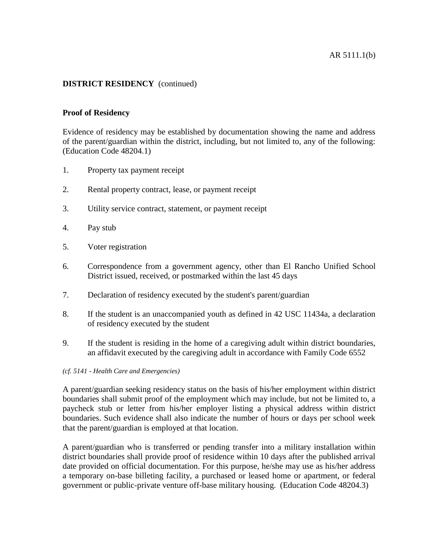## **Proof of Residency**

Evidence of residency may be established by documentation showing the name and address of the parent/guardian within the district, including, but not limited to, any of the following: (Education Code 48204.1)

- 1. Property tax payment receipt
- 2. Rental property contract, lease, or payment receipt
- 3. Utility service contract, statement, or payment receipt
- 4. Pay stub
- 5. Voter registration
- 6. Correspondence from a government agency, other than El Rancho Unified School District issued, received, or postmarked within the last 45 days
- 7. Declaration of residency executed by the student's parent/guardian
- 8. If the student is an unaccompanied youth as defined in 42 USC 11434a, a declaration of residency executed by the student
- 9. If the student is residing in the home of a caregiving adult within district boundaries, an affidavit executed by the caregiving adult in accordance with Family Code 6552

#### *(cf. 5141 - Health Care and Emergencies)*

A parent/guardian seeking residency status on the basis of his/her employment within district boundaries shall submit proof of the employment which may include, but not be limited to, a paycheck stub or letter from his/her employer listing a physical address within district boundaries. Such evidence shall also indicate the number of hours or days per school week that the parent/guardian is employed at that location.

A parent/guardian who is transferred or pending transfer into a military installation within district boundaries shall provide proof of residence within 10 days after the published arrival date provided on official documentation. For this purpose, he/she may use as his/her address a temporary on-base billeting facility, a purchased or leased home or apartment, or federal government or public-private venture off-base military housing. (Education Code 48204.3)